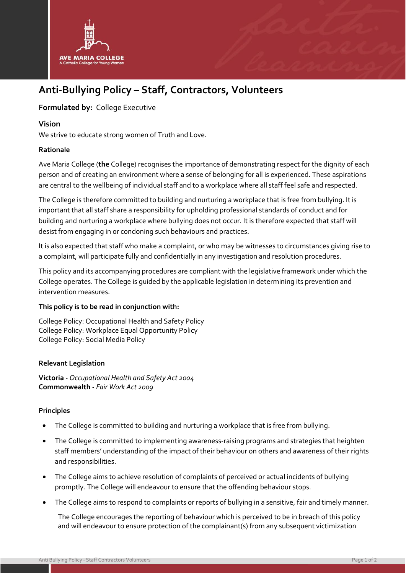

# **Anti-Bullying Policy – Staff, Contractors, Volunteers**

## **Formulated by:** College Executive

#### **Vision**

We strive to educate strong women of Truth and Love.

#### **Rationale**

Ave Maria College (**the** College) recognises the importance of demonstrating respect for the dignity of each person and of creating an environment where a sense of belonging for all is experienced. These aspirations are central to the wellbeing of individual staff and to a workplace where all staff feel safe and respected.

The College is therefore committed to building and nurturing a workplace that is free from bullying. It is important that all staff share a responsibility for upholding professional standards of conduct and for building and nurturing a workplace where bullying does not occur. It is therefore expected that staff will desist from engaging in or condoning such behaviours and practices.

It is also expected that staff who make a complaint, or who may be witnesses to circumstances giving rise to a complaint, will participate fully and confidentially in any investigation and resolution procedures.

This policy and its accompanying procedures are compliant with the legislative framework under which the College operates. The College is guided by the applicable legislation in determining its prevention and intervention measures.

#### **This policy is to be read in conjunction with:**

College Policy: Occupational Health and Safety Policy College Policy: Workplace Equal Opportunity Policy College Policy: Social Media Policy

#### **Relevant Legislation**

**Victoria -** *Occupational Health and Safety Act 2004* **Commonwealth -** *Fair Work Act 2009*

#### **Principles**

- The College is committed to building and nurturing a workplace that is free from bullying.
- The College is committed to implementing awareness-raising programs and strategies that heighten staff members' understanding of the impact of their behaviour on others and awareness of their rights and responsibilities.
- The College aims to achieve resolution of complaints of perceived or actual incidents of bullying promptly. The College will endeavour to ensure that the offending behaviour stops.
- The College aims to respond to complaints or reports of bullying in a sensitive, fair and timely manner.

The College encourages the reporting of behaviour which is perceived to be in breach of this policy and will endeavour to ensure protection of the complainant(s) from any subsequent victimization